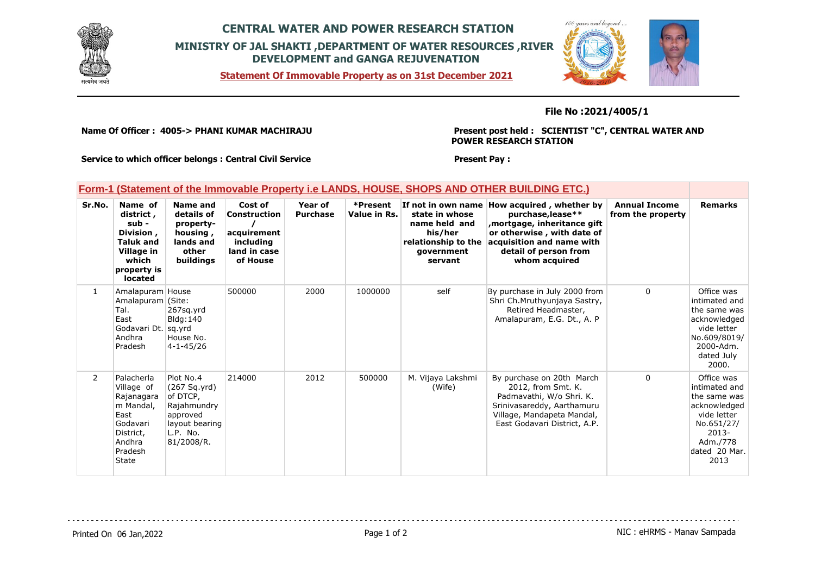

# **CENTRAL WATER AND POWER RESEARCH STATION MINISTRY OF JAL SHAKTI ,DEPARTMENT OF WATER RESOURCES ,RIVER DEVELOPMENT and GANGA REJUVENATION**

**Statement Of Immovable Property as on 31st December 2021**



## **File No :2021/4005/1**

**Name Of Officer : 4005-> PHANI KUMAR MACHIRAJU** 

**Present post held : SCIENTIST "C", CENTRAL WATER AND POWER RESEARCH STATION**

**Service to which officer belongs : Central Civil Service**

### **Present Pay :**

#### **Form-1 (Statement of the Immovable Property i.e LANDS, HOUSE, SHOPS AND OTHER BUILDING ETC.) Sr.No. Name of district , sub - Division , Taluk and Village in which property is located Name and details of propertyhousing , lands and other buildings Cost of Construction / acquirement including land in case of House Year of Purchase \*Present Value in Rs. If not in own name How acquired , whether by state in whose name held and his/her relationship to the acquisition and name with government servant purchase,lease\*\* ,mortgage, inheritance gift or otherwise , with date of detail of person from whom acquired Annual Income from the property Remarks** 1 Amalapuram House Amalapuram (Site: Tal. **East** Godavari Dt. sq.yrd Andhra Pradesh 267sq.yrd  $B$ lda: $140$ House No. 4-1-45/26 500000 2000 1000000 self By purchase in July 2000 from Shri Ch.Mruthyunjaya Sastry, Retired Headmaster, Amalapuram, E.G. Dt., A. P 0 Office was intimated and the same was acknowledged vide letter

|                | Andhra<br>Pradesh                                                                                                  | House No.<br>$4 - 1 - 45/26$                                                                                 |        |      |        |                             |                                                                                                                                                                         |   | No.609/8019/<br>2000-Adm.<br>dated July<br>2000.                                                                                       |
|----------------|--------------------------------------------------------------------------------------------------------------------|--------------------------------------------------------------------------------------------------------------|--------|------|--------|-----------------------------|-------------------------------------------------------------------------------------------------------------------------------------------------------------------------|---|----------------------------------------------------------------------------------------------------------------------------------------|
| $\overline{2}$ | Palacherla<br>Village of<br>Rajanagara<br>m Mandal,<br>East<br>Godavari<br>District,<br>Andhra<br>Pradesh<br>State | Plot No.4<br>(267 Sq.yrd)<br>of DTCP.<br>Rajahmundry<br>approved<br>layout bearing<br>L.P. No.<br>81/2008/R. | 214000 | 2012 | 500000 | M. Vijaya Lakshmi<br>(Wife) | By purchase on 20th March<br>2012, from Smt. K.<br>Padmavathi, W/o Shri. K.<br>Srinivasareddy, Aarthamuru<br>Village, Mandapeta Mandal,<br>East Godavari District, A.P. | 0 | Office was<br>intimated and<br>the same was<br>acknowledged<br>vide letter<br>No.651/27/<br>2013-<br>Adm./778<br>dated 20 Mar.<br>2013 |

Printed On 06 Jan, 2022 **Page 1 of 2** Page 1 of 2 **Page 1 of 2** NIC : eHRMS - Manav Sampada